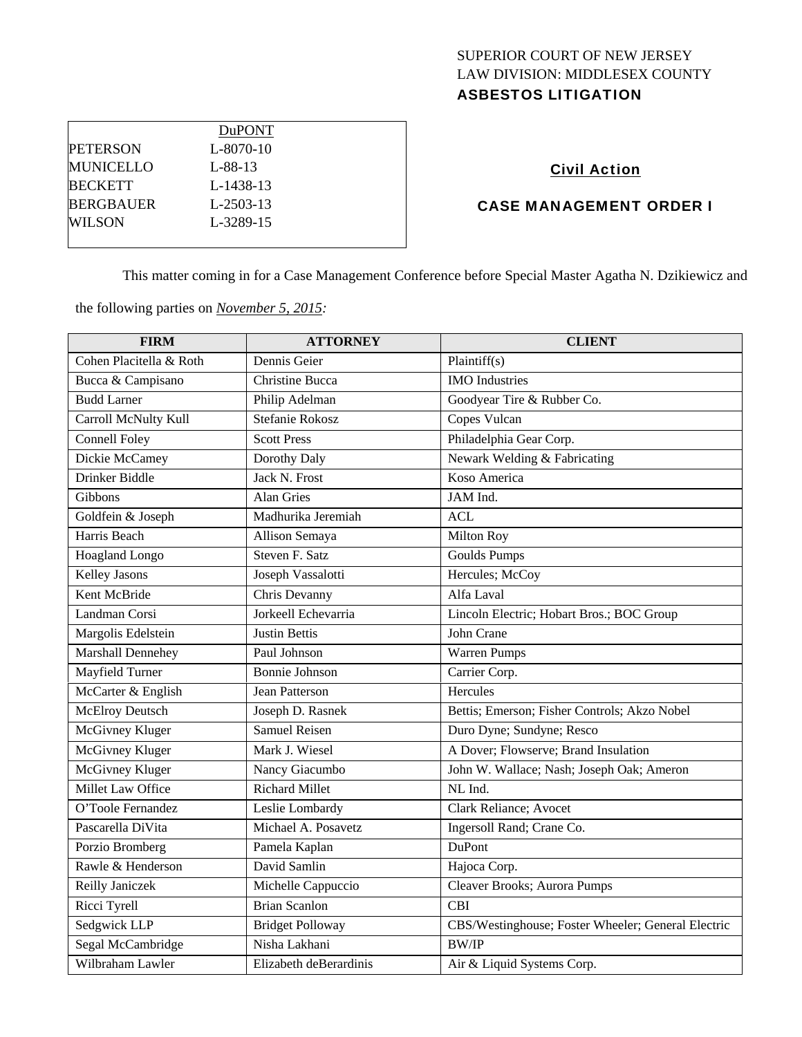## SUPERIOR COURT OF NEW JERSEY LAW DIVISION: MIDDLESEX COUNTY ASBESTOS LITIGATION

|                  | <b>DuPONT</b>   |  |
|------------------|-----------------|--|
| <b>PETERSON</b>  | L-8070-10       |  |
| <b>MUNICELLO</b> | $L - 88 - 13$   |  |
| <b>BECKETT</b>   | L-1438-13       |  |
| <b>BERGBAUER</b> | $L-2503-13$     |  |
| WIL SON          | $L - 3289 - 15$ |  |
|                  |                 |  |

# Civil Action

## CASE MANAGEMENT ORDER I

This matter coming in for a Case Management Conference before Special Master Agatha N. Dzikiewicz and

the following parties on *November 5, 2015:* 

| <b>FIRM</b>             | <b>ATTORNEY</b>         | <b>CLIENT</b>                                      |
|-------------------------|-------------------------|----------------------------------------------------|
| Cohen Placitella & Roth | Dennis Geier            | Plaintiff $(s)$                                    |
| Bucca & Campisano       | <b>Christine Bucca</b>  | <b>IMO</b> Industries                              |
| <b>Budd Larner</b>      | Philip Adelman          | Goodyear Tire & Rubber Co.                         |
| Carroll McNulty Kull    | Stefanie Rokosz         | Copes Vulcan                                       |
| <b>Connell Foley</b>    | <b>Scott Press</b>      | Philadelphia Gear Corp.                            |
| Dickie McCamey          | Dorothy Daly            | Newark Welding & Fabricating                       |
| Drinker Biddle          | Jack N. Frost           | Koso America                                       |
| Gibbons                 | <b>Alan Gries</b>       | JAM Ind.                                           |
| Goldfein & Joseph       | Madhurika Jeremiah      | <b>ACL</b>                                         |
| Harris Beach            | Allison Semaya          | Milton Roy                                         |
| Hoagland Longo          | Steven F. Satz          | <b>Goulds Pumps</b>                                |
| <b>Kelley Jasons</b>    | Joseph Vassalotti       | Hercules; McCoy                                    |
| Kent McBride            | Chris Devanny           | Alfa Laval                                         |
| Landman Corsi           | Jorkeell Echevarria     | Lincoln Electric; Hobart Bros.; BOC Group          |
| Margolis Edelstein      | <b>Justin Bettis</b>    | John Crane                                         |
| Marshall Dennehey       | Paul Johnson            | Warren Pumps                                       |
| <b>Mayfield Turner</b>  | <b>Bonnie Johnson</b>   | Carrier Corp.                                      |
| McCarter & English      | <b>Jean Patterson</b>   | Hercules                                           |
| <b>McElroy Deutsch</b>  | Joseph D. Rasnek        | Bettis; Emerson; Fisher Controls; Akzo Nobel       |
| McGivney Kluger         | <b>Samuel Reisen</b>    | Duro Dyne; Sundyne; Resco                          |
| <b>McGivney Kluger</b>  | Mark J. Wiesel          | A Dover; Flowserve; Brand Insulation               |
| McGivney Kluger         | Nancy Giacumbo          | John W. Wallace; Nash; Joseph Oak; Ameron          |
| Millet Law Office       | <b>Richard Millet</b>   | NL Ind.                                            |
| O'Toole Fernandez       | Leslie Lombardy         | Clark Reliance; Avocet                             |
| Pascarella DiVita       | Michael A. Posavetz     | Ingersoll Rand; Crane Co.                          |
| Porzio Bromberg         | Pamela Kaplan           | <b>DuPont</b>                                      |
| Rawle & Henderson       | David Samlin            | Hajoca Corp.                                       |
| Reilly Janiczek         | Michelle Cappuccio      | Cleaver Brooks; Aurora Pumps                       |
| Ricci Tyrell            | <b>Brian Scanlon</b>    | <b>CBI</b>                                         |
| Sedgwick LLP            | <b>Bridget Polloway</b> | CBS/Westinghouse; Foster Wheeler; General Electric |
| Segal McCambridge       | Nisha Lakhani           | <b>BW/IP</b>                                       |
| Wilbraham Lawler        | Elizabeth deBerardinis  | Air & Liquid Systems Corp.                         |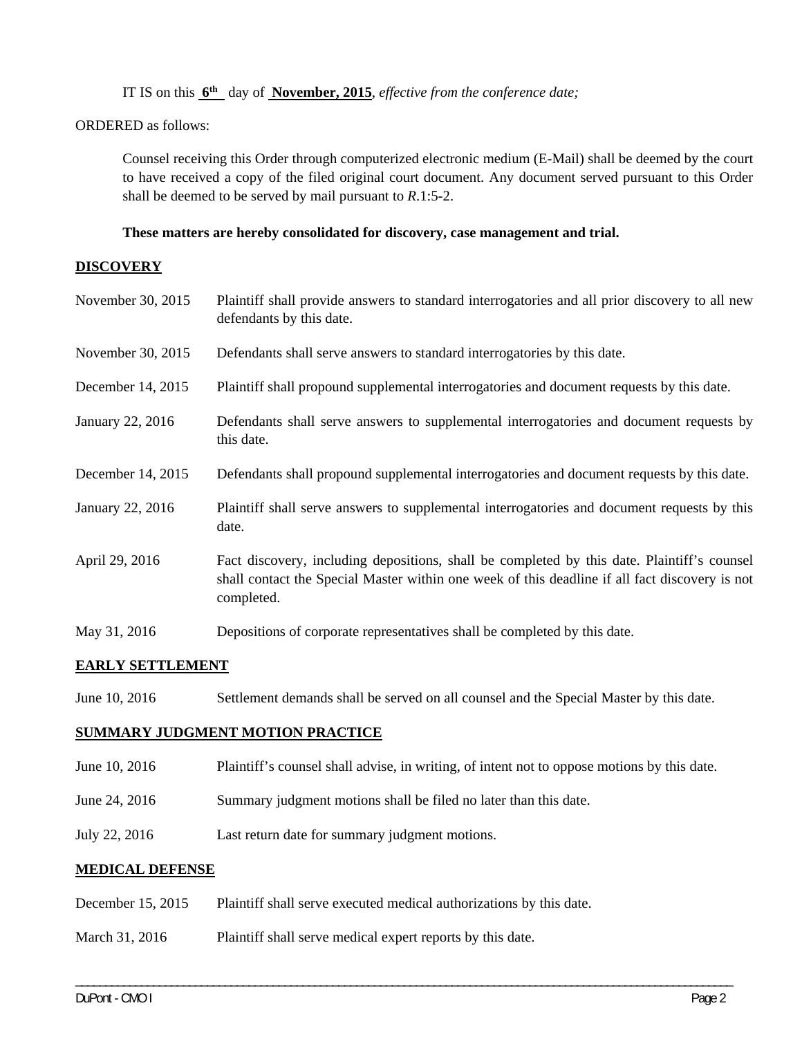IT IS on this **6th** day of **November, 2015**, *effective from the conference date;*

#### ORDERED as follows:

Counsel receiving this Order through computerized electronic medium (E-Mail) shall be deemed by the court to have received a copy of the filed original court document. Any document served pursuant to this Order shall be deemed to be served by mail pursuant to *R*.1:5-2.

#### **These matters are hereby consolidated for discovery, case management and trial.**

#### **DISCOVERY**

| November 30, 2015 | Plaintiff shall provide answers to standard interrogatories and all prior discovery to all new<br>defendants by this date.                                                                                  |
|-------------------|-------------------------------------------------------------------------------------------------------------------------------------------------------------------------------------------------------------|
| November 30, 2015 | Defendants shall serve answers to standard interrogatories by this date.                                                                                                                                    |
| December 14, 2015 | Plaintiff shall propound supplemental interrogatories and document requests by this date.                                                                                                                   |
| January 22, 2016  | Defendants shall serve answers to supplemental interrogatories and document requests by<br>this date.                                                                                                       |
| December 14, 2015 | Defendants shall propound supplemental interrogatories and document requests by this date.                                                                                                                  |
| January 22, 2016  | Plaintiff shall serve answers to supplemental interrogatories and document requests by this<br>date.                                                                                                        |
| April 29, 2016    | Fact discovery, including depositions, shall be completed by this date. Plaintiff's counsel<br>shall contact the Special Master within one week of this deadline if all fact discovery is not<br>completed. |
| May 31, 2016      | Depositions of corporate representatives shall be completed by this date.                                                                                                                                   |

## **EARLY SETTLEMENT**

June 10, 2016 Settlement demands shall be served on all counsel and the Special Master by this date.

#### **SUMMARY JUDGMENT MOTION PRACTICE**

June 10, 2016 Plaintiff's counsel shall advise, in writing, of intent not to oppose motions by this date.

\_\_\_\_\_\_\_\_\_\_\_\_\_\_\_\_\_\_\_\_\_\_\_\_\_\_\_\_\_\_\_\_\_\_\_\_\_\_\_\_\_\_\_\_\_\_\_\_\_\_\_\_\_\_\_\_\_\_\_\_\_\_\_\_\_\_\_\_\_\_\_\_\_\_\_\_\_\_\_\_\_\_\_\_\_\_\_\_\_\_\_\_\_\_\_\_\_\_\_\_\_\_\_\_\_\_\_\_\_\_

- June 24, 2016 Summary judgment motions shall be filed no later than this date.
- July 22, 2016 Last return date for summary judgment motions.

#### **MEDICAL DEFENSE**

- December 15, 2015 Plaintiff shall serve executed medical authorizations by this date.
- March 31, 2016 Plaintiff shall serve medical expert reports by this date.